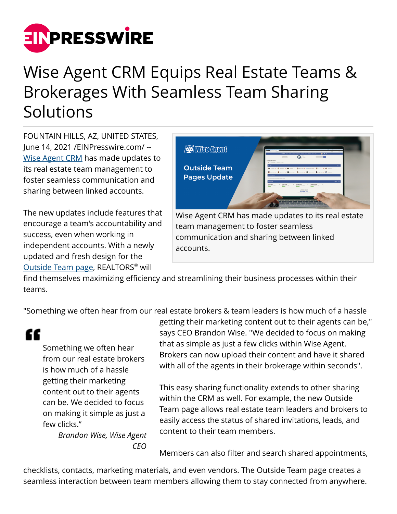

## Wise Agent CRM Equips Real Estate Teams & Brokerages With Seamless Team Sharing Solutions

FOUNTAIN HILLS, AZ, UNITED STATES, June 14, 2021 [/EINPresswire.com/](http://www.einpresswire.com) -- [Wise Agent CRM](http://www.wiseagent.com) has made updates to its real estate team management to foster seamless communication and sharing between linked accounts.

The new updates include features that encourage a team's accountability and success, even when working in independent accounts. With a newly updated and fresh design for the [Outside Team page,](http://wiseagent.com/blog/Automated-Lead-Distribution-with-Wise-Agent-CRM) REALTORS® will



communication and sharing between linked accounts.

find themselves maximizing efficiency and streamlining their business processes within their teams.

"Something we often hear from our real estate brokers & team leaders is how much of a hassle

"

Something we often hear from our real estate brokers is how much of a hassle getting their marketing content out to their agents can be. We decided to focus on making it simple as just a few clicks."

*Brandon Wise, Wise Agent CEO*

getting their marketing content out to their agents can be," says CEO Brandon Wise. "We decided to focus on making that as simple as just a few clicks within Wise Agent. Brokers can now upload their content and have it shared with all of the agents in their brokerage within seconds".

This easy sharing functionality extends to other sharing within the CRM as well. For example, the new Outside Team page allows real estate team leaders and brokers to easily access the status of shared invitations, leads, and content to their team members.

Members can also filter and search shared appointments,

checklists, contacts, marketing materials, and even vendors. The Outside Team page creates a seamless interaction between team members allowing them to stay connected from anywhere.